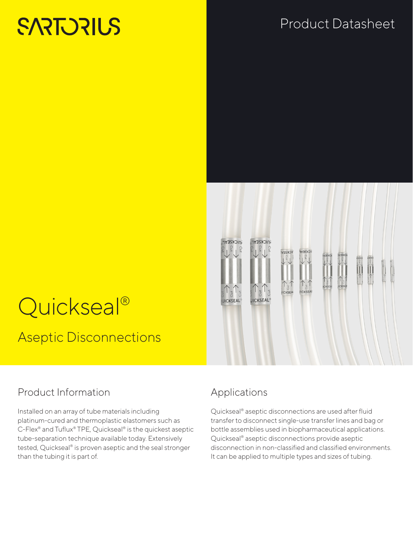# **SARTORIUS**

## Product Datasheet



# Quickseal<sup>®</sup> Aseptic Disconnections

## Product Information

Installed on an array of tube materials including platinum-cured and thermoplastic elastomers such as C-Flex® and Tuflux® TPE, Quickseal® is the quickest aseptic tube-separation technique available today. Extensively tested, Quickseal® is proven aseptic and the seal stronger than the tubing it is part of.

## Applications

Quickseal® aseptic disconnections are used after fluid transfer to disconnect single-use transfer lines and bag or bottle assemblies used in biopharmaceutical applications. Quickseal® aseptic disconnections provide aseptic disconnection in non-classified and classified environments. It can be applied to multiple types and sizes of tubing.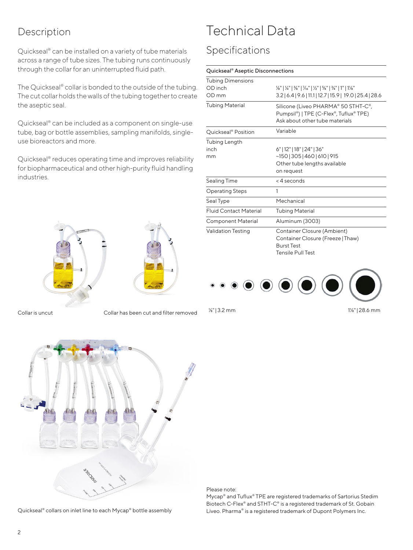### Description

Quickseal® can be installed on a variety of tube materials across a range of tube sizes. The tubing runs continuously through the collar for an uninterrupted fluid path.

The Quickseal® collar is bonded to the outside of the tubing. The cut collar holds the walls of the tubing together to create the aseptic seal.

Quickseal® can be included as a component on single-use tube, bag or bottle assemblies, sampling manifolds, singleuse bioreactors and more.

Quickseal® reduces operating time and improves reliability for biopharmaceutical and other high-purity fluid handling industries.



Collar is uncut Collar has been cut and filter removed

## Technical Data

### Specifications

| <b>Tubing Dimensions</b><br>OD inch<br>OD mm | 1/8"   1/4"   3/8"   7/16"   1/2"   5/8"   3/4"   1"   1/8"<br>3.2   6.4   9.6   11.1   12.7   15.9   19.0   25.4   28.6 |
|----------------------------------------------|--------------------------------------------------------------------------------------------------------------------------|
| <b>Tubing Material</b>                       | Silicone (Liveo PHARMA® 50 STHT-C®,<br>Pumpsil®)   TPE (C-Flex®, Tuflux® TPE)<br>Ask about other tube materials          |
| Quickseal <sup>®</sup> Position              | Variable                                                                                                                 |
| Tubing Length<br>inch<br>mm                  | 6"   12"   18"   24"   36"<br>$-150$   305   460   610   915<br>Other tube lengths available<br>on request               |
| Sealing Time                                 | <4 seconds                                                                                                               |
| <b>Operating Steps</b>                       | 1                                                                                                                        |
| Seal Type                                    | Mechanical                                                                                                               |
| <b>Fluid Contact Material</b>                | <b>Tubing Material</b>                                                                                                   |
| <b>Component Material</b>                    | Aluminum (3003)                                                                                                          |
| <b>Validation Testing</b>                    | Container Closure (Ambient)<br>Container Closure (Freeze   Thaw)<br><b>Burst Test</b><br><b>Tensile Pull Test</b>        |



⅛" | 3.2 mm 1⅛" | 28.6 mm



Please note:

Mycap® and Tuflux® TPE are registered trademarks of Sartorius Stedim Biotech C-Flex® and STHT-C® is a registered trademark of St. Gobain Liveo. Pharma® is a registered trademark of Dupont Polymers Inc.

Quickseal® collars on inlet line to each Mycap® bottle assembly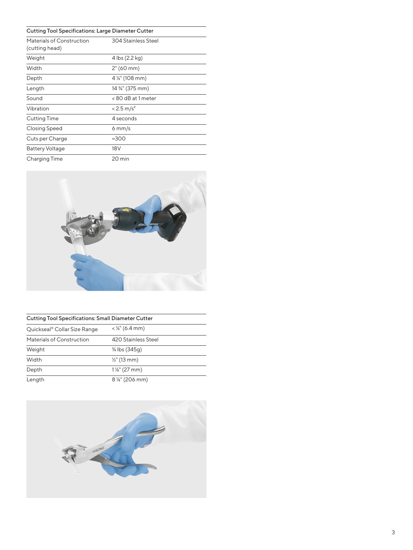#### Cutting Tool Specifications: Large Diameter Cutter

| Materials of Construction<br>(cutting head) | 304 Stainless Steel                       |
|---------------------------------------------|-------------------------------------------|
| Weight                                      | 4 lbs (2.2 kg)                            |
| Width                                       | 2" (60 mm)                                |
| Depth                                       | 4 1/4" (108 mm)                           |
| Length                                      | 14 <sup>3</sup> / <sub>4</sub> " (375 mm) |
| Sound                                       | <80 dB at 1 meter                         |
| Vibration                                   | $< 2.5$ m/s <sup>2</sup>                  |
| Cutting Time                                | 4 seconds                                 |
| <b>Closing Speed</b>                        | $6 \text{ mm/s}$                          |
| Cuts per Charge                             | $\approx 300$                             |
| <b>Battery Voltage</b>                      | 18V                                       |
| Charging Time                               | 20 min                                    |



| <b>Cutting Tool Specifications: Small Diameter Cutter</b> |                                        |  |
|-----------------------------------------------------------|----------------------------------------|--|
| Quickseal® Collar Size Range                              | $<$ ¼" (6.4 mm)                        |  |
| Materials of Construction                                 | 420 Stainless Steel                    |  |
| Weight                                                    | <sup>3</sup> / <sub>4</sub> lbs (345g) |  |
| Width                                                     | $\frac{1}{2}$ " (13 mm)                |  |
| Depth                                                     | $1\frac{1}{8}$ " (27 mm)               |  |
| Length                                                    | $8\,\mathrm{''}$ (206 mm)              |  |

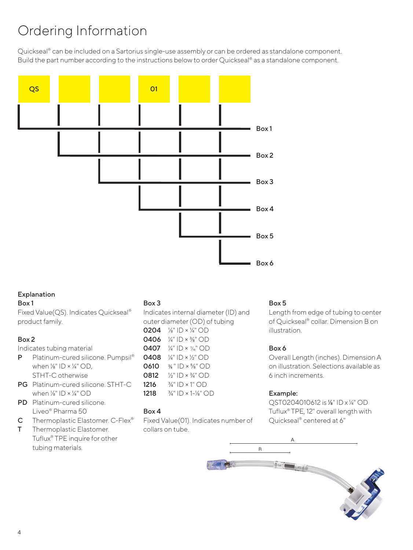# Ordering Information

Quickseal<sup>®</sup> can be included on a Sartorius single-use assembly or can be ordered as standalone component. Build the part number according to the instructions below to order Quickseal® as a standalone component.



#### Explanation

#### Box 1

Fixed Value(QS). Indicates Quickseal® product family.

#### Box 2

Indicates tubing material

- P Platinum-cured silicone. Pumpsil<sup>®</sup> when  $\frac{1}{8}$ " ID ×  $\frac{1}{4}$ " OD, STHT-C otherwise
- PG Platinum-cured silicone. STHT-C when  $\frac{1}{8}$ " ID  $\times$   $\frac{1}{4}$ " OD
- PD Platinum-cured silicone. Liveo® Pharma 50
- C Thermoplastic Elastomer. C-Flex®
- T Thermoplastic Elastomer. Tuflux® TPE inquire for other tubing materials.

#### Box 3

Indicates internal diameter (ID) and outer diameter (OD) of tubing

 ⅛" ID × ¼" OD  $\frac{1}{4}$ " ID  $\times$   $\frac{3}{8}$ " OD  $\frac{1}{4}$ " ID ×  $\frac{7}{4}$ " OD ¼" ID × ½" OD 0610 <sup>3</sup>% " ID × <sup>5</sup>%" OD  $\frac{1}{2}$ " ID  $\times$  <sup>3</sup>/<sub>4</sub>" OD  $\frac{3}{4}$ " ID × 1" OD  $\frac{3}{4}$ " ID × 1- $\frac{1}{8}$ " OD

#### Box 4

Fixed Value(01). Indicates number of collars on tube.

#### Box 5

Length from edge of tubing to center of Quickseal® collar. Dimension B on illustration.

#### Box 6

Overall Length (inches). Dimension A on illustration. Selections available as 6 inch increments.

#### Example:

QST0204010612 is ⅛" ID x ¼" OD Tuflux® TPE, 12" overall length with Quickseal® centered at 6"

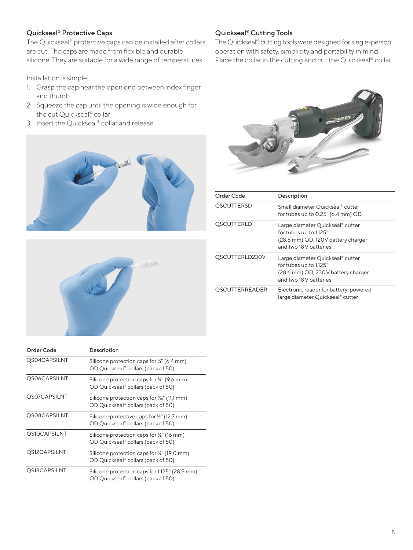#### Quickseal® Protective Caps

The Quickseal® protective caps can be installed after collars are cut. The caps are made from flexible and durable silicone. They are suitable for a wide range of temperatures.

Installation is simple:

- 1. Grasp the cap near the open end between index finger and thumb
- 2. Squeeze the cap until the opening is wide enough for the cut Quickseal® collar
- 3. Insert the Quickseal® collar and release



#### Quickseal® Cutting Tools

The Quickseal® cutting tools were designed for single-person operation with safety, simplicity and portability in mind. Place the collar in the cutting and cut the Quickseal® collar.



| Order Code            | Description                                                                                                                |
|-----------------------|----------------------------------------------------------------------------------------------------------------------------|
| <b>QSCUTTERSD</b>     | Small diameter Ouickseal® cutter<br>for tubes up to $0.25$ " (6.4 mm) OD                                                   |
| <b>QSCUTTERLD</b>     | Large diameter Quickseal® cutter<br>for tubes up to 1.125"<br>(28.6 mm) OD; 120V battery charger<br>and two 18V batteries  |
| QSCUTTERLD230V        | Large diameter Quickseal® cutter<br>for tubes up to 1.125"<br>(28.6 mm) OD; 230V battery charger<br>and two 18 V batteries |
| <b>QSCUTTERREADER</b> | Electronic reader for battery-powered<br>large diameter Quickseal® cutter                                                  |

| Order Code   | Description                                                                                   |  |
|--------------|-----------------------------------------------------------------------------------------------|--|
| QS04CAPSILNT | Silicone protection caps for 1/4" (6.4 mm)<br>OD Quickseal® collars (pack of 50)              |  |
| QS06CAPSILNT | Silicone protection caps for $\frac{3}{8}$ " (9.6 mm)<br>OD Quickseal® collars (pack of 50)   |  |
| QS07CAPSILNT | Silicone protection caps for $\frac{7}{6}$ " (11.1 mm)<br>OD Quickseal® collars (pack of 50)  |  |
| QS08CAPSILNT | Silicone protective caps for 1/2" (12.7 mm)<br>OD Quickseal <sup>®</sup> collars (pack of 50) |  |
| QS10CAPSILNT | Silicone protection caps for %" (16 mm)<br>OD Quickseal® collars (pack of 50)                 |  |
| QS12CAPSILNT | Silicone protection caps for 3/4" (19.0 mm)                                                   |  |

OD Quickseal® collars (pack of 50) QS18CAPSILNT Silicone protection caps for 1.125" (28.5 mm) OD Quickseal® collars (pack of 50)